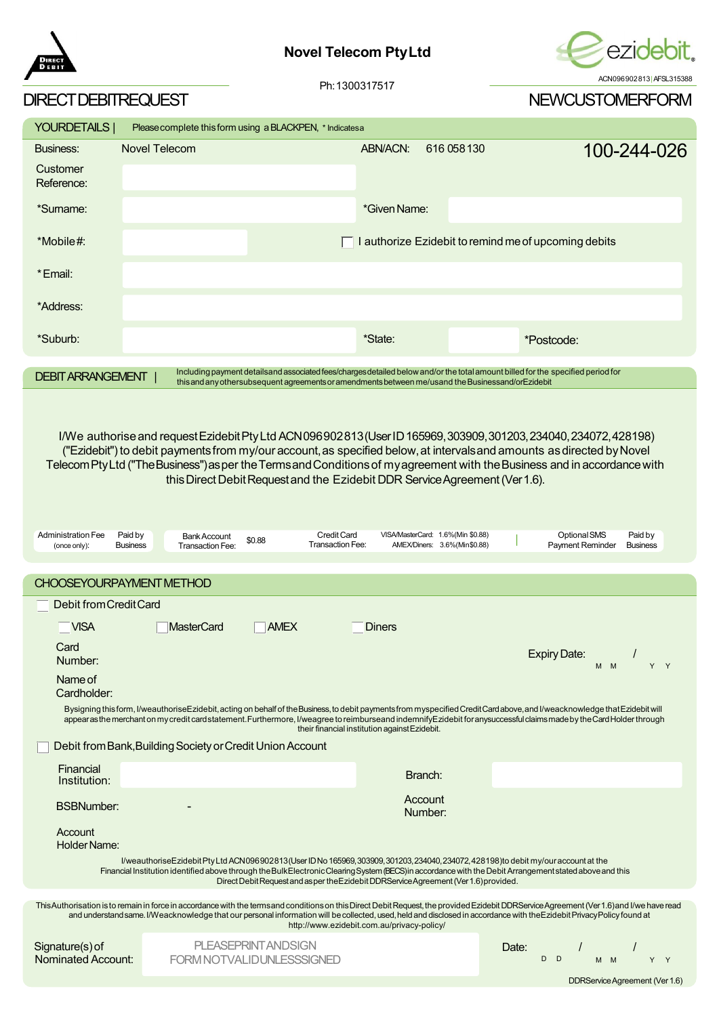

## **Novel Telecom PtyLtd**



| DIRECT DEBITREQUEST                                      |                                                                                                                                                                                                                                                                                                                                                                                                                                                  |                                                                                                                                                                                                                                        |                                                                   |             | <b>NEWCUSTOMERFORM</b>                               |                            |
|----------------------------------------------------------|--------------------------------------------------------------------------------------------------------------------------------------------------------------------------------------------------------------------------------------------------------------------------------------------------------------------------------------------------------------------------------------------------------------------------------------------------|----------------------------------------------------------------------------------------------------------------------------------------------------------------------------------------------------------------------------------------|-------------------------------------------------------------------|-------------|------------------------------------------------------|----------------------------|
| YOURDETAILS                                              | Please complete this form using a BLACKPEN, * Indicates a                                                                                                                                                                                                                                                                                                                                                                                        |                                                                                                                                                                                                                                        |                                                                   |             |                                                      |                            |
| Business:                                                | <b>Novel Telecom</b>                                                                                                                                                                                                                                                                                                                                                                                                                             |                                                                                                                                                                                                                                        | ABN/ACN:                                                          | 616 058 130 |                                                      | 100-244-026                |
| Customer<br>Reference:                                   |                                                                                                                                                                                                                                                                                                                                                                                                                                                  |                                                                                                                                                                                                                                        |                                                                   |             |                                                      |                            |
| *Sumame:                                                 |                                                                                                                                                                                                                                                                                                                                                                                                                                                  |                                                                                                                                                                                                                                        | *Given Name:                                                      |             |                                                      |                            |
| *Mobile#:                                                |                                                                                                                                                                                                                                                                                                                                                                                                                                                  |                                                                                                                                                                                                                                        |                                                                   |             | I authorize Ezidebit to remind me of upcoming debits |                            |
| *Email:                                                  |                                                                                                                                                                                                                                                                                                                                                                                                                                                  |                                                                                                                                                                                                                                        |                                                                   |             |                                                      |                            |
| *Address:                                                |                                                                                                                                                                                                                                                                                                                                                                                                                                                  |                                                                                                                                                                                                                                        |                                                                   |             |                                                      |                            |
| *Suburb:                                                 |                                                                                                                                                                                                                                                                                                                                                                                                                                                  |                                                                                                                                                                                                                                        | *State:                                                           |             | *Postcode:                                           |                            |
| <b>DEBIT ARRANGEMENT</b>                                 |                                                                                                                                                                                                                                                                                                                                                                                                                                                  | Including payment detailsand associated fees/charges detailed below and/or the total amount billed for the specified period for<br>this and any other subsequent agreements or amendments between me/usand the Businessand/or Ezidebit |                                                                   |             |                                                      |                            |
| <b>Administration Fee</b><br>(once only):                | I/We authorise and request Ezidebit Pty Ltd ACN096902813 (User ID 165969, 303909, 301203, 234040, 234072, 428198)<br>("Ezidebit") to debit payments from my/our account, as specified below, at intervals and amounts as directed by Novel<br>Telecom Pty Ltd ("The Business") as per the Terms and Conditions of my agreement with the Business and in accordance with<br>Paid by<br><b>Bank Account</b><br><b>Business</b><br>Transaction Fee: | this Direct Debit Request and the Ezidebit DDR Service Agreement (Ver 1.6).<br><b>Credit Card</b><br>\$0.88<br>Transaction Fee:                                                                                                        | VISA/MasterCard: 1.6%(Min \$0.88)<br>AMEX/Diners: 3.6%(Min\$0.88) |             | Optional SMS<br><b>Payment Reminder</b>              | Paid by<br><b>Business</b> |
|                                                          |                                                                                                                                                                                                                                                                                                                                                                                                                                                  |                                                                                                                                                                                                                                        |                                                                   |             |                                                      |                            |
|                                                          | <b>CHOOSEYOURPAYMENT METHOD</b>                                                                                                                                                                                                                                                                                                                                                                                                                  |                                                                                                                                                                                                                                        |                                                                   |             |                                                      |                            |
| Debit from Credit Card                                   |                                                                                                                                                                                                                                                                                                                                                                                                                                                  |                                                                                                                                                                                                                                        |                                                                   |             |                                                      |                            |
| <b>VISA</b><br>Card<br>Number:<br>Name of<br>Cardholder: | <b>MasterCard</b><br>Bysigning this form, I/weauthoriseEzidebit, acting on behalf of the Business, to debit payments from myspecified Credit Card above, and I/weacknowledge that Ezidebit will<br>appearas the merchant on my credit card statement. Furthermore, I/weagree to reimburseand indemnifyEzidebit for anysuccessful claims made by the Card Holder through<br>Debit from Bank, Building Society or Credit Union Account             | <b>AMEX</b>                                                                                                                                                                                                                            | Diners<br>their financial institution against Ezidebit.           |             | <b>Expiry Date:</b><br>M M                           | Y Y                        |
|                                                          |                                                                                                                                                                                                                                                                                                                                                                                                                                                  |                                                                                                                                                                                                                                        |                                                                   |             |                                                      |                            |

| <b>Financial</b><br>Institution: |                          | Branch:            |  |
|----------------------------------|--------------------------|--------------------|--|
| <b>BSBNumber:</b>                | $\overline{\phantom{0}}$ | Account<br>Number: |  |

Account Holder Name:

> I/weauthoriseEzidebitPtyLtdACN096902813(UserIDNo165969,303909,301203,234040,234072,428198)to debit my/ouraccountat the Financial Institution identified above through theBulkElectronicClearingSystem(BECS)inaccordancewith theDebitArrangementstatedaboveand this DirectDebitRequestandasper theEzidebitDDRServiceAgreement(Ver1.6)provided.

ThisAuthorisation is to remain in force in accordance with the termsand conditions on this Direct Debit Request, the provided Ezidebit DDRService Agreement (Ver 1.6)and I/we have read and understandsame. I/Weacknowledge that our personal information will be collected, used, held and disclosed in accordance with theEzidebit PrivacyPolicy found at http://www.ezidebit.com.au/privacy-policy/

| Signature(s) of    | <b>PLEASEPRINT ANDSIGN</b> |
|--------------------|----------------------------|
| Nominated Account: | FORM NOTVALIDUNLESSSIGNED  |

| Date: |                |  |     |  |  |  |
|-------|----------------|--|-----|--|--|--|
|       | D <sub>D</sub> |  | M M |  |  |  |